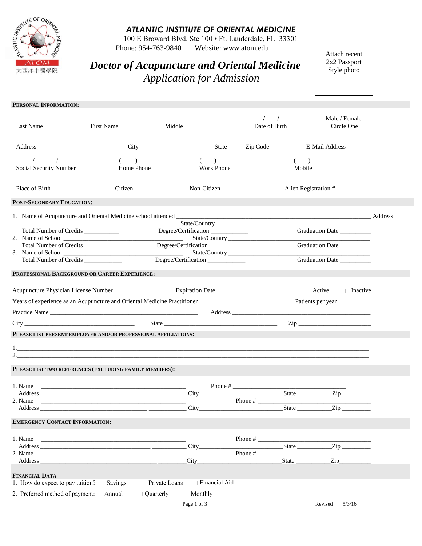

## *ATLANTIC INSTITUTE OF ORIENTAL MEDICINE*

100 E Broward Blvd. Ste 100 • Ft. Lauderdale, FL 33301 Website: www.atom.edu Phone: 954-763-9840

*Doctor of Acupuncture and Oriental Medicine Application for Admission*

Attach recent 2x2 Passport Style photo

| PERSONAL INFORMATION: |
|-----------------------|
|                       |

|                                                                                   |                                                                                                                       |                                                               |                   |                  |                                | Male / Female             |  |
|-----------------------------------------------------------------------------------|-----------------------------------------------------------------------------------------------------------------------|---------------------------------------------------------------|-------------------|------------------|--------------------------------|---------------------------|--|
| Last Name                                                                         | First Name                                                                                                            | Middle                                                        |                   | Date of Birth    |                                | Circle One                |  |
|                                                                                   |                                                                                                                       |                                                               |                   |                  |                                |                           |  |
| Address                                                                           | City                                                                                                                  |                                                               | State             | Zip Code         | E-Mail Address                 |                           |  |
|                                                                                   |                                                                                                                       |                                                               |                   |                  |                                |                           |  |
| Social Security Number                                                            | Home Phone                                                                                                            |                                                               | <b>Work Phone</b> |                  | Mobile                         |                           |  |
| Place of Birth                                                                    | Citizen                                                                                                               | Non-Citizen                                                   |                   |                  | Alien Registration #           |                           |  |
| POST-SECONDARY EDUCATION:                                                         |                                                                                                                       |                                                               |                   |                  |                                |                           |  |
|                                                                                   |                                                                                                                       |                                                               |                   |                  |                                |                           |  |
| Total Number of Credits __________                                                |                                                                                                                       | Degree/Certification__________                                |                   |                  |                                | Graduation Date _________ |  |
| Total Number of Credits ____________                                              |                                                                                                                       | $\overline{\phantom{a}}$<br>Degree/Certification_____________ |                   |                  |                                | Graduation Date           |  |
| Total Number of Credits ___________                                               |                                                                                                                       | <u> Alban Alban (</u>                                         |                   | State/Country    |                                | Graduation Date           |  |
| PROFESSIONAL BACKGROUND OR CAREER EXPERIENCE:                                     |                                                                                                                       |                                                               |                   |                  |                                |                           |  |
|                                                                                   |                                                                                                                       |                                                               |                   |                  |                                |                           |  |
| Acupuncture Physician License Number __________                                   |                                                                                                                       | Expiration Date                                               |                   |                  | $\Box$ Active                  | $\Box$ Inactive           |  |
| Years of experience as an Acupuncture and Oriental Medicine Practitioner ________ |                                                                                                                       |                                                               |                   |                  |                                |                           |  |
|                                                                                   |                                                                                                                       |                                                               |                   |                  |                                |                           |  |
|                                                                                   |                                                                                                                       |                                                               |                   |                  |                                | $\mathsf{Zip}$            |  |
| PLEASE LIST PRESENT EMPLOYER AND/OR PROFESSIONAL AFFILIATIONS:                    |                                                                                                                       |                                                               |                   |                  |                                |                           |  |
|                                                                                   |                                                                                                                       |                                                               |                   |                  |                                |                           |  |
| $\overline{2}$ .                                                                  |                                                                                                                       |                                                               |                   |                  |                                |                           |  |
| PLEASE LIST TWO REFERENCES (EXCLUDING FAMILY MEMBERS):                            |                                                                                                                       |                                                               |                   |                  |                                |                           |  |
|                                                                                   |                                                                                                                       |                                                               |                   |                  |                                |                           |  |
| 1. Name                                                                           | <u> 1989 - Johann John Stein, markin fan it ferskearre fan it ferskearre fan it ferskearre fan it ferskearre fan </u> |                                                               |                   |                  |                                |                           |  |
| 2. Name                                                                           |                                                                                                                       |                                                               |                   | Phone #<br>State |                                |                           |  |
|                                                                                   |                                                                                                                       |                                                               |                   |                  |                                | $\mathsf{Zip}$            |  |
| <b>EMERGENCY CONTACT INFORMATION:</b>                                             |                                                                                                                       |                                                               |                   |                  |                                |                           |  |
| 1. Name                                                                           | <u> 1990 - Johann John Stone, markin amerikan bisa di sebagai pertama dan pertama dan pertama dan pertama dan pe</u>  |                                                               |                   |                  |                                |                           |  |
| Address                                                                           | <u> 1980 - Johann John Stein, markin fan it ferskearre fan it ferskearre fan it ferskearre fan it ferskearre fan </u> | City                                                          |                   |                  | State                          | $\overline{\text{Zip }}$  |  |
| 2. Name<br>Address                                                                |                                                                                                                       | City                                                          |                   | Phone #          | State $\overline{\phantom{a}}$ | $\mathsf{Zip}\_$          |  |
| <b>FINANCIAL DATA</b>                                                             |                                                                                                                       |                                                               |                   |                  |                                |                           |  |
| 1. How do expect to pay tuition? $\Box$ Savings                                   |                                                                                                                       | □ Private Loans                                               | Financial Aid     |                  |                                |                           |  |
| 2. Preferred method of payment: $\Box$ Annual                                     | □ Quarterly                                                                                                           | $\Box$ Monthly                                                |                   |                  |                                |                           |  |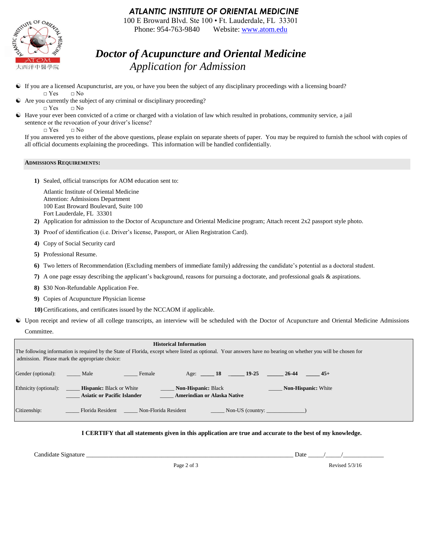### *ATLANTIC INSTITUTE OF ORIENTAL MEDICINE*

100 E Broward Blvd. Ste 100 • Ft. Lauderdale, FL 33301 Phone: 954-763-9840 Website[: www.atom.edu](http://www.atom.edu/)

## *Doctor of Acupuncture and Oriental Medicine Application for Admission*

- If you are a licensed Acupuncturist, are you, or have you been the subject of any disciplinary proceedings with a licensing board?  $\Box$  Yes  $\Box$  No
- Are you currently the subject of any criminal or disciplinary proceeding?
- □ Yes □ No Have your ever been convicted of a crime or charged with a violation of law which resulted in probations, community service, a jail
	- sentence or the revocation of your driver's license?

□ Yes □ No

If you answered yes to either of the above questions, please explain on separate sheets of paper. You may be required to furnish the school with copies of all official documents explaining the proceedings. This information will be handled confidentially.

#### **ADMISSIONS REQUIREMENTS:**

**1)** Sealed, official transcripts for AOM education sent to:

Atlantic Institute of Oriental Medicine Attention: Admissions Department 100 East Broward Boulevard, Suite 100 Fort Lauderdale, FL 33301

- **2)** Application for admission to the Doctor of Acupuncture and Oriental Medicine program; Attach recent 2x2 passport style photo.
- **3)** Proof of identification (i.e. Driver's license, Passport, or Alien Registration Card).
- **4)** Copy of Social Security card
- **5)** Professional Resume.
- **6)** Two letters of Recommendation (Excluding members of immediate family) addressing the candidate's potential as a doctoral student.
- **7)** A one page essay describing the applicant's background, reasons for pursuing a doctorate, and professional goals & aspirations.
- **8)** \$30 Non-Refundable Application Fee.
- **9)** Copies of Acupuncture Physician license

**10)**Certifications, and certificates issued by the NCCAOM if applicable.

 Upon receipt and review of all college transcripts, an interview will be scheduled with the Doctor of Acupuncture and Oriental Medicine Admissions Committee.



**I CERTIFY that all statements given in this application are true and accurate to the best of my knowledge.**

Candidate Signature \_\_\_\_\_\_\_\_\_\_\_\_\_\_\_\_\_\_\_\_\_\_\_\_\_\_\_\_\_\_\_\_\_\_\_\_\_\_\_\_\_\_\_\_\_\_\_\_\_\_\_\_\_\_\_\_\_\_\_\_\_\_\_\_\_\_ Date \_\_\_\_\_/\_\_\_\_\_/\_\_\_\_\_\_\_\_\_\_\_\_\_

Page 2 of 3 Revised 5/3/16